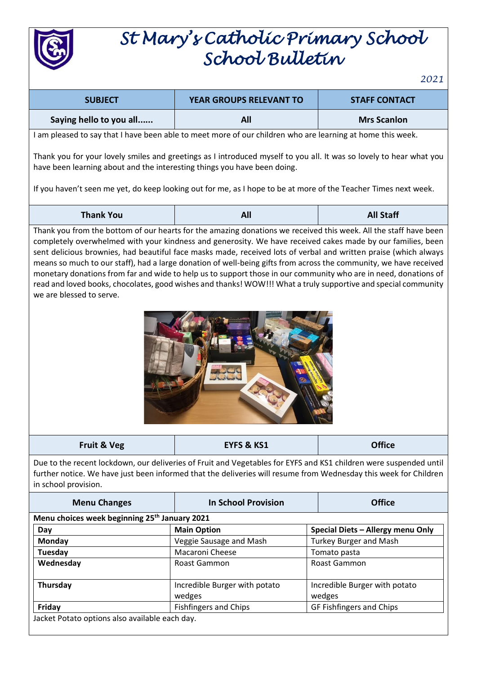

## *St Mary's Catholic Primary School School Bulletin*

*2021*

| <b>SUBJECT</b>                                                                                                                                                                                                                                                                                                                                                                                                                                                                                                                                                                                                                                                                                                                            | YEAR GROUPS RELEVANT TO                 | <b>STAFF CONTACT</b>                    |  |  |  |
|-------------------------------------------------------------------------------------------------------------------------------------------------------------------------------------------------------------------------------------------------------------------------------------------------------------------------------------------------------------------------------------------------------------------------------------------------------------------------------------------------------------------------------------------------------------------------------------------------------------------------------------------------------------------------------------------------------------------------------------------|-----------------------------------------|-----------------------------------------|--|--|--|
| Saying hello to you all                                                                                                                                                                                                                                                                                                                                                                                                                                                                                                                                                                                                                                                                                                                   | All                                     | <b>Mrs Scanlon</b>                      |  |  |  |
| I am pleased to say that I have been able to meet more of our children who are learning at home this week.                                                                                                                                                                                                                                                                                                                                                                                                                                                                                                                                                                                                                                |                                         |                                         |  |  |  |
| Thank you for your lovely smiles and greetings as I introduced myself to you all. It was so lovely to hear what you<br>have been learning about and the interesting things you have been doing.                                                                                                                                                                                                                                                                                                                                                                                                                                                                                                                                           |                                         |                                         |  |  |  |
| If you haven't seen me yet, do keep looking out for me, as I hope to be at more of the Teacher Times next week.                                                                                                                                                                                                                                                                                                                                                                                                                                                                                                                                                                                                                           |                                         |                                         |  |  |  |
| <b>Thank You</b>                                                                                                                                                                                                                                                                                                                                                                                                                                                                                                                                                                                                                                                                                                                          | All                                     | <b>All Staff</b>                        |  |  |  |
| Thank you from the bottom of our hearts for the amazing donations we received this week. All the staff have been<br>completely overwhelmed with your kindness and generosity. We have received cakes made by our families, been<br>sent delicious brownies, had beautiful face masks made, received lots of verbal and written praise (which always<br>means so much to our staff), had a large donation of well-being gifts from across the community, we have received<br>monetary donations from far and wide to help us to support those in our community who are in need, donations of<br>read and loved books, chocolates, good wishes and thanks! WOW!!! What a truly supportive and special community<br>we are blessed to serve. |                                         |                                         |  |  |  |
| <b>Fruit &amp; Veg</b>                                                                                                                                                                                                                                                                                                                                                                                                                                                                                                                                                                                                                                                                                                                    | <b>EYFS &amp; KS1</b>                   | <b>Office</b>                           |  |  |  |
| Due to the recent lockdown, our deliveries of Fruit and Vegetables for EYFS and KS1 children were suspended until<br>further notice. We have just been informed that the deliveries will resume from Wednesday this week for Children<br>in school provision.                                                                                                                                                                                                                                                                                                                                                                                                                                                                             |                                         |                                         |  |  |  |
| <b>Menu Changes</b>                                                                                                                                                                                                                                                                                                                                                                                                                                                                                                                                                                                                                                                                                                                       | <b>In School Provision</b>              | <b>Office</b>                           |  |  |  |
| Menu choices week beginning 25 <sup>th</sup> January 2021                                                                                                                                                                                                                                                                                                                                                                                                                                                                                                                                                                                                                                                                                 |                                         |                                         |  |  |  |
| Day                                                                                                                                                                                                                                                                                                                                                                                                                                                                                                                                                                                                                                                                                                                                       | <b>Main Option</b>                      | Special Diets - Allergy menu Only       |  |  |  |
| Monday                                                                                                                                                                                                                                                                                                                                                                                                                                                                                                                                                                                                                                                                                                                                    | Veggie Sausage and Mash                 | <b>Turkey Burger and Mash</b>           |  |  |  |
| Tuesday                                                                                                                                                                                                                                                                                                                                                                                                                                                                                                                                                                                                                                                                                                                                   | Macaroni Cheese                         | Tomato pasta                            |  |  |  |
| Wednesday                                                                                                                                                                                                                                                                                                                                                                                                                                                                                                                                                                                                                                                                                                                                 | Roast Gammon                            | Roast Gammon                            |  |  |  |
| Thursday                                                                                                                                                                                                                                                                                                                                                                                                                                                                                                                                                                                                                                                                                                                                  | Incredible Burger with potato<br>wedges | Incredible Burger with potato<br>wedges |  |  |  |
| Friday                                                                                                                                                                                                                                                                                                                                                                                                                                                                                                                                                                                                                                                                                                                                    | <b>Fishfingers and Chips</b>            | GF Fishfingers and Chips                |  |  |  |
| Jacket Potato options also available each day.                                                                                                                                                                                                                                                                                                                                                                                                                                                                                                                                                                                                                                                                                            |                                         |                                         |  |  |  |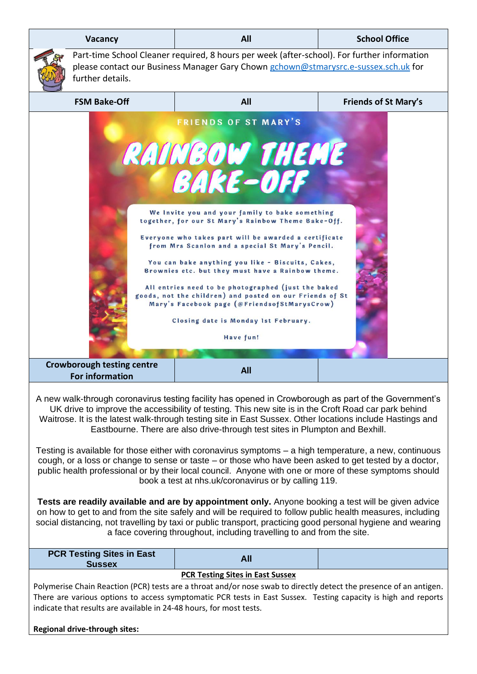|                                                                                                                                                                                                                                                                                                                                                                                                                                                                                                                                                                                                                                 | Vacancy                                                                                                                                                                                                | All                                                                                                                                                                                                                                                                                                                                                                                                                                                                                                                                                                                                                               | <b>School Office</b>        |  |  |
|---------------------------------------------------------------------------------------------------------------------------------------------------------------------------------------------------------------------------------------------------------------------------------------------------------------------------------------------------------------------------------------------------------------------------------------------------------------------------------------------------------------------------------------------------------------------------------------------------------------------------------|--------------------------------------------------------------------------------------------------------------------------------------------------------------------------------------------------------|-----------------------------------------------------------------------------------------------------------------------------------------------------------------------------------------------------------------------------------------------------------------------------------------------------------------------------------------------------------------------------------------------------------------------------------------------------------------------------------------------------------------------------------------------------------------------------------------------------------------------------------|-----------------------------|--|--|
|                                                                                                                                                                                                                                                                                                                                                                                                                                                                                                                                                                                                                                 | Part-time School Cleaner required, 8 hours per week (after-school). For further information<br>please contact our Business Manager Gary Chown gchown@stmarysrc.e-sussex.sch.uk for<br>further details. |                                                                                                                                                                                                                                                                                                                                                                                                                                                                                                                                                                                                                                   |                             |  |  |
|                                                                                                                                                                                                                                                                                                                                                                                                                                                                                                                                                                                                                                 | <b>FSM Bake-Off</b>                                                                                                                                                                                    | All                                                                                                                                                                                                                                                                                                                                                                                                                                                                                                                                                                                                                               | <b>Friends of St Mary's</b> |  |  |
| <b>FRIENDS OF ST MARY'S</b><br><b>RAINBOW THEME</b><br><b>BAKE-OFF</b><br>We Invite you and your family to bake something<br>together, for our St Mary's Rainbow Theme Bake-Off.<br>Everyone who takes part will be awarded a certificate<br>from Mrs Scanlon and a special St Mary's Pencil.<br>You can bake anything you like - Biscuits, Cakes,<br>Brownies etc. but they must have a Rainbow theme.<br>All entries need to be photographed (just the baked<br>goods, not the children) and posted on our Friends of St<br>Mary's Facebook page (@FriendsofStMarysCrow)<br>Closing date is Monday 1st February.<br>Have fun! |                                                                                                                                                                                                        |                                                                                                                                                                                                                                                                                                                                                                                                                                                                                                                                                                                                                                   |                             |  |  |
|                                                                                                                                                                                                                                                                                                                                                                                                                                                                                                                                                                                                                                 | <b>Crowborough testing centre</b><br><b>For information</b>                                                                                                                                            | <b>All</b>                                                                                                                                                                                                                                                                                                                                                                                                                                                                                                                                                                                                                        |                             |  |  |
|                                                                                                                                                                                                                                                                                                                                                                                                                                                                                                                                                                                                                                 |                                                                                                                                                                                                        | A new walk-through coronavirus testing facility has opened in Crowborough as part of the Government's<br>UK drive to improve the accessibility of testing. This new site is in the Croft Road car park behind<br>Waitrose. It is the latest walk-through testing site in East Sussex. Other locations include Hastings and<br>Eastbourne. There are also drive-through test sites in Plumpton and Bexhill.<br>Testing is available for those either with coronavirus symptoms - a high temperature, a new, continuous<br>cough, or a loss or change to sense or taste $-$ or those who have been asked to get tested by a doctor. |                             |  |  |

cough, or a loss or change to sense or taste – or those who have been asked to get tested by a doctor, public health professional or by their local council. Anyone with one or more of these symptoms should book a test at nhs.uk/coronavirus or by calling 119.

**Tests are readily available and are by appointment only.** Anyone booking a test will be given advice on how to get to and from the site safely and will be required to follow public health measures, including social distancing, not travelling by taxi or public transport, practicing good personal hygiene and wearing a face covering throughout, including travelling to and from the site.

| <b>PCR Testing Sites in East</b><br><b>Sussex</b>                                                                  | All |  |  |  |
|--------------------------------------------------------------------------------------------------------------------|-----|--|--|--|
| <b>PCR Testing Sites in East Sussex</b>                                                                            |     |  |  |  |
| Polymerise Chain Reaction (PCR) tests are a throat and/or nose swab to directly detect the presence of an antigen. |     |  |  |  |

There are various options to access symptomatic PCR tests in East Sussex. Testing capacity is high and reports indicate that results are available in 24-48 hours, for most tests.

**Regional drive-through sites:**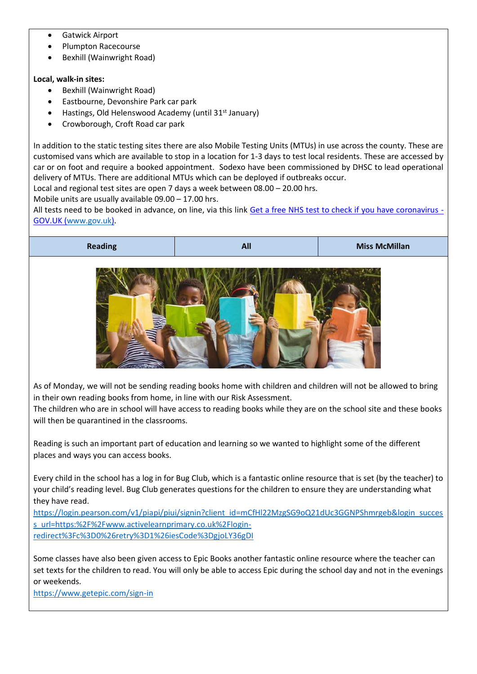- Gatwick Airport
- Plumpton Racecourse
- Bexhill (Wainwright Road)

## **Local, walk-in sites:**

- Bexhill (Wainwright Road)
- Eastbourne, Devonshire Park car park
- Hastings, Old Helenswood Academy (until 31<sup>st</sup> January)
- Crowborough, Croft Road car park

In addition to the static testing sites there are also Mobile Testing Units (MTUs) in use across the county. These are customised vans which are available to stop in a location for 1-3 days to test local residents. These are accessed by car or on foot and require a booked appointment. Sodexo have been commissioned by DHSC to lead operational delivery of MTUs. There are additional MTUs which can be deployed if outbreaks occur.

Local and regional test sites are open 7 days a week between 08.00 – 20.00 hrs.

Mobile units are usually available 09.00 – 17.00 hrs.

All tests need to be booked in advance, on line, via this link Get a free NHS test to check if you have coronavirus -GOV.UK (www.gov.uk).



As of Monday, we will not be sending reading books home with children and children will not be allowed to bring in their own reading books from home, in line with our Risk Assessment.

The children who are in school will have access to reading books while they are on the school site and these books will then be quarantined in the classrooms.

Reading is such an important part of education and learning so we wanted to highlight some of the different places and ways you can access books.

Every child in the school has a log in for Bug Club, which is a fantastic online resource that is set (by the teacher) to your child's reading level. Bug Club generates questions for the children to ensure they are understanding what they have read.

[https://login.pearson.com/v1/piapi/piui/signin?client\\_id=mCfHl22MzgSG9oQ21dUc3GGNPShmrgeb&login\\_succes](https://login.pearson.com/v1/piapi/piui/signin?client_id=mCfHl22MzgSG9oQ21dUc3GGNPShmrgeb&login_success_url=https:%2F%2Fwww.activelearnprimary.co.uk%2Flogin-redirect%3Fc%3D0%26retry%3D1%26iesCode%3DgjoLY36gDI) [s\\_url=https:%2F%2Fwww.activelearnprimary.co.uk%2Flogin](https://login.pearson.com/v1/piapi/piui/signin?client_id=mCfHl22MzgSG9oQ21dUc3GGNPShmrgeb&login_success_url=https:%2F%2Fwww.activelearnprimary.co.uk%2Flogin-redirect%3Fc%3D0%26retry%3D1%26iesCode%3DgjoLY36gDI)[redirect%3Fc%3D0%26retry%3D1%26iesCode%3DgjoLY36gDI](https://login.pearson.com/v1/piapi/piui/signin?client_id=mCfHl22MzgSG9oQ21dUc3GGNPShmrgeb&login_success_url=https:%2F%2Fwww.activelearnprimary.co.uk%2Flogin-redirect%3Fc%3D0%26retry%3D1%26iesCode%3DgjoLY36gDI)

Some classes have also been given access to Epic Books another fantastic online resource where the teacher can set texts for the children to read. You will only be able to access Epic during the school day and not in the evenings or weekends.

<https://www.getepic.com/sign-in>